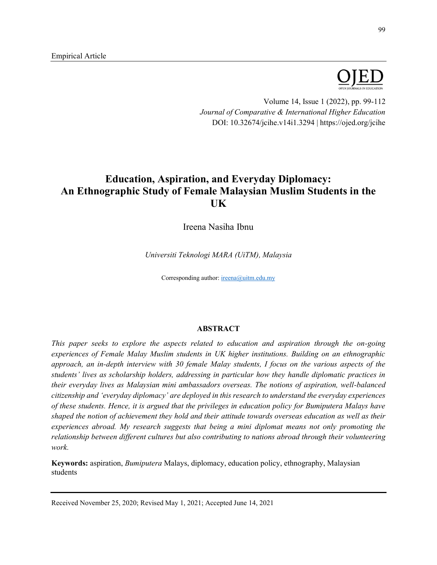

Volume 14, Issue 1 (2022), pp. 99-112 *Journal of Comparative & International Higher Education* DOI: 10.32674/jcihe.v14i1.3294 | https://ojed.org/jcihe

# **Education, Aspiration, and Everyday Diplomacy: An Ethnographic Study of Female Malaysian Muslim Students in the UK**

Ireena Nasiha Ibnu

*Universiti Teknologi MARA (UiTM), Malaysia*

Corresponding author: [ireena@uitm.edu.my](mailto:ireena@uitm.edu.my)

# **ABSTRACT**

*This paper seeks to explore the aspects related to education and aspiration through the on-going experiences of Female Malay Muslim students in UK higher institutions. Building on an ethnographic approach, an in-depth interview with 30 female Malay students, I focus on the various aspects of the students' lives as scholarship holders, addressing in particular how they handle diplomatic practices in their everyday lives as Malaysian mini ambassadors overseas. The notions of aspiration, well-balanced citizenship and 'everyday diplomacy' are deployed in this research to understand the everyday experiences of these students. Hence, it is argued that the privileges in education policy for Bumiputera Malays have shaped the notion of achievement they hold and their attitude towards overseas education as well as their experiences abroad. My research suggests that being a mini diplomat means not only promoting the relationship between different cultures but also contributing to nations abroad through their volunteering work.*

**Keywords:** aspiration, *Bumiputera* Malays, diplomacy, education policy, ethnography, Malaysian students

Received November 25, 2020; Revised May 1, 2021; Accepted June 14, 2021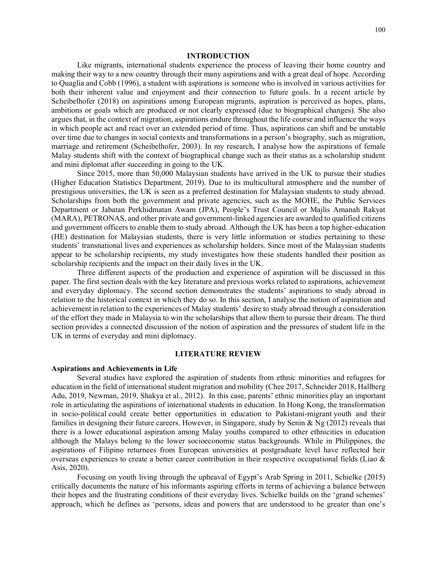#### **INTRODUCTION**

Like migrants, international students experience the process of leaving their home country and making their way to a new country through their many aspirations and with a great deal of hope. According to Quaglia and Cobb (1996), a student with aspirations is someone who is involved in various activities for both their inherent value and enjoyment and their connection to future goals. In a recent article by Scheibelhofer (2018) on aspirations among European migrants, aspiration is perceived as hopes, plans, ambitions or goals which are produced or not clearly expressed (due to biographical changes). She also argues that, in the context of migration, aspirations endure throughout the life course and influence the ways in which people act and react over an extended period of time. Thus, aspirations can shift and be unstable over time due to changes in social contexts and transformations in a person's biography, such as migration, marriage and retirement (Scheibelhofer, 2003). In my research, I analyse how the aspirations of female Malay students shift with the context of biographical change such as their status as a scholarship student and mini diplomat after succeeding in going to the UK.

Since 2015, more than 50,000 Malaysian students have arrived in the UK to pursue their studies (Higher Education Statistics Department, 2019). Due to its multicultural atmosphere and the number of prestigious universities, the UK is seen as a preferred destination for Malaysian students to study abroad. Scholarships from both the government and private agencies, such as the MOHE, the Public Services Department or Jabatan Perkhidmatan Awam (JPA), People's Trust Council or Majlis Amanah Rakyat (MARA), PETRONAS, and other private and government-linked agencies are awarded to qualified citizens and government officers to enable them to study abroad. Although the UK has been a top higher-education (HE) destination for Malaysian students, there is very little information or studies pertaining to these students' transnational lives and experiences as scholarship holders. Since most of the Malaysian students appear to be scholarship recipients, my study investigates how these students handled their position as scholarship recipients and the impact on their daily lives in the UK.

Three different aspects of the production and experience of aspiration will be discussed in this paper. The first section deals with the key literature and previous works related to aspirations, achievement and everyday diplomacy. The second section demonstrates the students' aspirations to study abroad in relation to the historical context in which they do so. In this section, I analyse the notion of aspiration and achievement in relation to the experiences of Malay students' desire to study abroad through a consideration of the effort they made in Malaysia to win the scholarships that allow them to pursue their dream. The third section provides a connected discussion of the notion of aspiration and the pressures of student life in the UK in terms of everyday and mini diplomacy.

## **LITERATURE REVIEW**

#### **Aspirations and Achievements in Life**

Several studies have explored the aspiration of students from ethnic minorities and refugees for education in the field of international student migration and mobility (Chee 2017, Schneider 2018, Hallberg Adu, 2019, Newman, 2019, Shakya et al., 2012). In this case, parents' ethnic minorities play an important role in articulating the aspirations of international students in education. In Hong Kong, the transformation in socio-political could create better opportunities in education to Pakistani-migrant youth and their families in designing their future careers. However, in Singapore, study by Senin & Ng (2012) reveals that there is a lower educational aspiration among Malay youths compared to other ethnicities in education although the Malays belong to the lower socioeconomic status backgrounds. While in Philippines, the aspirations of Filipino returnees from European universities at postgraduate level have reflected heir overseas experiences to create a better career contribution in their respective occupational fields (Liao & Asis, 2020).

Focusing on youth living through the upheaval of Egypt's Arab Spring in 2011, Schielke (2015) critically documents the nature of his informants aspiring efforts in terms of achieving a balance between their hopes and the frustrating conditions of their everyday lives. Schielke builds on the 'grand schemes' approach, which he defines as 'persons, ideas and powers that are understood to be greater than one's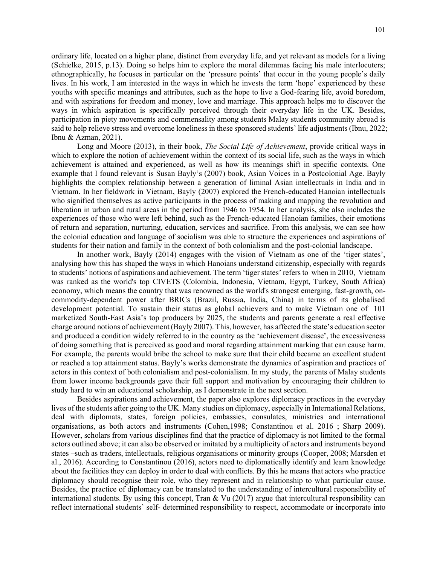ordinary life, located on a higher plane, distinct from everyday life, and yet relevant as models for a living (Schielke, 2015, p.13). Doing so helps him to explore the moral dilemmas facing his male interlocuters; ethnographically, he focuses in particular on the 'pressure points' that occur in the young people's daily lives. In his work, I am interested in the ways in which he invests the term 'hope' experienced by these youths with specific meanings and attributes, such as the hope to live a God-fearing life, avoid boredom, and with aspirations for freedom and money, love and marriage. This approach helps me to discover the ways in which aspiration is specifically perceived through their everyday life in the UK. Besides, participation in piety movements and commensality among students Malay students community abroad is said to help relieve stress and overcome loneliness in these sponsored students' life adjustments (Ibnu, 2022; Ibnu & Azman, 2021).

Long and Moore (2013), in their book, *The Social Life of Achievement*, provide critical ways in which to explore the notion of achievement within the context of its social life, such as the ways in which achievement is attained and experienced, as well as how its meanings shift in specific contexts. One example that I found relevant is Susan Bayly's (2007) book, Asian Voices in a Postcolonial Age. Bayly highlights the complex relationship between a generation of liminal Asian intellectuals in India and in Vietnam. In her fieldwork in Vietnam, Bayly (2007) explored the French-educated Hanoian intellectuals who signified themselves as active participants in the process of making and mapping the revolution and liberation in urban and rural areas in the period from 1946 to 1954. In her analysis, she also includes the experiences of those who were left behind, such as the French-educated Hanoian families, their emotions of return and separation, nurturing, education, services and sacrifice. From this analysis, we can see how the colonial education and language of socialism was able to structure the experiences and aspirations of students for their nation and family in the context of both colonialism and the post-colonial landscape.

In another work, Bayly (2014) engages with the vision of Vietnam as one of the 'tiger states', analysing how this has shaped the ways in which Hanoians understand citizenship, especially with regards to students' notions of aspirations and achievement. The term 'tiger states' refers to when in 2010, Vietnam was ranked as the world's top CIVETS (Colombia, Indonesia, Vietnam, Egypt, Turkey, South Africa) economy, which means the country that was renowned as the world's strongest emerging, fast-growth, oncommodity-dependent power after BRICs (Brazil, Russia, India, China) in terms of its globalised development potential. To sustain their status as global achievers and to make Vietnam one of 101 marketized South-East Asia's top producers by 2025, the students and parents generate a real effective charge around notions of achievement (Bayly 2007). This, however, has affected the state's education sector and produced a condition widely referred to in the country as the 'achievement disease', the excessiveness of doing something that is perceived as good and moral regarding attainment marking that can cause harm. For example, the parents would bribe the school to make sure that their child became an excellent student or reached a top attainment status. Bayly's works demonstrate the dynamics of aspiration and practices of actors in this context of both colonialism and post-colonialism. In my study, the parents of Malay students from lower income backgrounds gave their full support and motivation by encouraging their children to study hard to win an educational scholarship, as I demonstrate in the next section.

Besides aspirations and achievement, the paper also explores diplomacy practices in the everyday lives of the students after going to the UK. Many studies on diplomacy, especially in International Relations, deal with diplomats, states, foreign policies, embassies, consulates, ministries and international organisations, as both actors and instruments (Cohen,1998; Constantinou et al. 2016 ; Sharp 2009). However, scholars from various disciplines find that the practice of diplomacy is not limited to the formal actors outlined above; it can also be observed or imitated by a multiplicity of actors and instruments beyond states –such as traders, intellectuals, religious organisations or minority groups (Cooper, 2008; Marsden et al., 2016). According to Constantinou (2016), actors need to diplomatically identify and learn knowledge about the facilities they can deploy in order to deal with conflicts. By this he means that actors who practice diplomacy should recognise their role, who they represent and in relationship to what particular cause. Besides, the practice of diplomacy can be translated to the understanding of intercultural responsibility of international students. By using this concept, Tran & Vu (2017) argue that intercultural responsibility can reflect international students' self- determined responsibility to respect, accommodate or incorporate into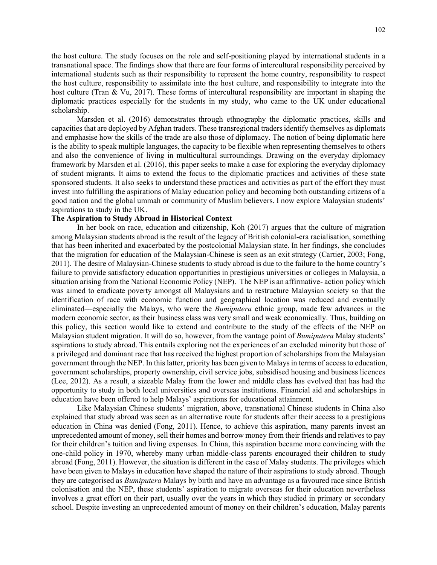the host culture. The study focuses on the role and self-positioning played by international students in a transnational space. The findings show that there are four forms of intercultural responsibility perceived by international students such as their responsibility to represent the home country, responsibility to respect the host culture, responsibility to assimilate into the host culture, and responsibility to integrate into the host culture (Tran & Vu, 2017). These forms of intercultural responsibility are important in shaping the diplomatic practices especially for the students in my study, who came to the UK under educational scholarship.

Marsden et al. (2016) demonstrates through ethnography the diplomatic practices, skills and capacities that are deployed by Afghan traders. These transregional traders identify themselves as diplomats and emphasise how the skills of the trade are also those of diplomacy. The notion of being diplomatic here is the ability to speak multiple languages, the capacity to be flexible when representing themselves to others and also the convenience of living in multicultural surroundings. Drawing on the everyday diplomacy framework by Marsden et al. (2016), this paper seeks to make a case for exploring the everyday diplomacy of student migrants. It aims to extend the focus to the diplomatic practices and activities of these state sponsored students. It also seeks to understand these practices and activities as part of the effort they must invest into fulfilling the aspirations of Malay education policy and becoming both outstanding citizens of a good nation and the global ummah or community of Muslim believers. I now explore Malaysian students' aspirations to study in the UK.

## **The Aspiration to Study Abroad in Historical Context**

In her book on race, education and citizenship, Koh (2017) argues that the culture of migration among Malaysian students abroad is the result of the legacy of British colonial-era racialisation, something that has been inherited and exacerbated by the postcolonial Malaysian state. In her findings, she concludes that the migration for education of the Malaysian-Chinese is seen as an exit strategy (Cartier, 2003; Fong, 2011). The desire of Malaysian-Chinese students to study abroad is due to the failure to the home country's failure to provide satisfactory education opportunities in prestigious universities or colleges in Malaysia, a situation arising from the National Economic Policy (NEP). The NEP is an affirmative- action policy which was aimed to eradicate poverty amongst all Malaysians and to restructure Malaysian society so that the identification of race with economic function and geographical location was reduced and eventually eliminated––especially the Malays, who were the *Bumiputera* ethnic group, made few advances in the modern economic sector, as their business class was very small and weak economically. Thus, building on this policy, this section would like to extend and contribute to the study of the effects of the NEP on Malaysian student migration. It will do so, however, from the vantage point of *Bumiputera* Malay students' aspirations to study abroad. This entails exploring not the experiences of an excluded minority but those of a privileged and dominant race that has received the highest proportion of scholarships from the Malaysian government through the NEP. In this latter, priority has been given to Malays in terms of access to education, government scholarships, property ownership, civil service jobs, subsidised housing and business licences (Lee, 2012). As a result, a sizeable Malay from the lower and middle class has evolved that has had the opportunity to study in both local universities and overseas institutions. Financial aid and scholarships in education have been offered to help Malays' aspirations for educational attainment.

Like Malaysian Chinese students' migration, above, transnational Chinese students in China also explained that study abroad was seen as an alternative route for students after their access to a prestigious education in China was denied (Fong, 2011). Hence, to achieve this aspiration, many parents invest an unprecedented amount of money, sell their homes and borrow money from their friends and relatives to pay for their children's tuition and living expenses. In China, this aspiration became more convincing with the one-child policy in 1970, whereby many urban middle-class parents encouraged their children to study abroad (Fong, 2011). However, the situation is different in the case of Malay students. The privileges which have been given to Malays in education have shaped the nature of their aspirations to study abroad. Though they are categorised as *Bumiputera* Malays by birth and have an advantage as a favoured race since British colonisation and the NEP, these students' aspiration to migrate overseas for their education nevertheless involves a great effort on their part, usually over the years in which they studied in primary or secondary school. Despite investing an unprecedented amount of money on their children's education, Malay parents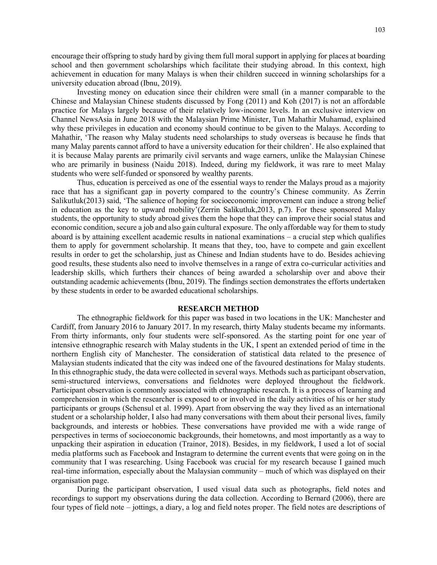encourage their offspring to study hard by giving them full moral support in applying for places at boarding school and then government scholarships which facilitate their studying abroad. In this context, high achievement in education for many Malays is when their children succeed in winning scholarships for a university education abroad (Ibnu, 2019).

Investing money on education since their children were small (in a manner comparable to the Chinese and Malaysian Chinese students discussed by Fong (2011) and Koh (2017) is not an affordable practice for Malays largely because of their relatively low-income levels. In an exclusive interview on Channel NewsAsia in June 2018 with the Malaysian Prime Minister, Tun Mahathir Muhamad, explained why these privileges in education and economy should continue to be given to the Malays. According to Mahathir, 'The reason why Malay students need scholarships to study overseas is because he finds that many Malay parents cannot afford to have a university education for their children'. He also explained that it is because Malay parents are primarily civil servants and wage earners, unlike the Malaysian Chinese who are primarily in business (Naidu 2018). Indeed, during my fieldwork, it was rare to meet Malay students who were self-funded or sponsored by wealthy parents.

Thus, education is perceived as one of the essential ways to render the Malays proud as a majority race that has a significant gap in poverty compared to the country's Chinese community. As Zerrin Salikutluk(2013) said, 'The salience of hoping for socioeconomic improvement can induce a strong belief in education as the key to upward mobility'(Zerrin Salikutluk,2013, p.7). For these sponsored Malay students, the opportunity to study abroad gives them the hope that they can improve their social status and economic condition, secure a job and also gain cultural exposure. The only affordable way for them to study aboard is by attaining excellent academic results in national examinations – a crucial step which qualifies them to apply for government scholarship. It means that they, too, have to compete and gain excellent results in order to get the scholarship, just as Chinese and Indian students have to do. Besides achieving good results, these students also need to involve themselves in a range of extra co-curricular activities and leadership skills, which furthers their chances of being awarded a scholarship over and above their outstanding academic achievements (Ibnu, 2019). The findings section demonstrates the efforts undertaken by these students in order to be awarded educational scholarships.

#### **RESEARCH METHOD**

The ethnographic fieldwork for this paper was based in two locations in the UK: Manchester and Cardiff, from January 2016 to January 2017. In my research, thirty Malay students became my informants. From thirty informants, only four students were self-sponsored. As the starting point for one year of intensive ethnographic research with Malay students in the UK, I spent an extended period of time in the northern English city of Manchester. The consideration of statistical data related to the presence of Malaysian students indicated that the city was indeed one of the favoured destinations for Malay students. In this ethnographic study, the data were collected in several ways. Methods such as participant observation, semi-structured interviews, conversations and fieldnotes were deployed throughout the fieldwork. Participant observation is commonly associated with ethnographic research. It is a process of learning and comprehension in which the researcher is exposed to or involved in the daily activities of his or her study participants or groups (Schensul et al. 1999). Apart from observing the way they lived as an international student or a scholarship holder, I also had many conversations with them about their personal lives, family backgrounds, and interests or hobbies. These conversations have provided me with a wide range of perspectives in terms of socioeconomic backgrounds, their hometowns, and most importantly as a way to unpacking their aspiration in education (Trainor, 2018). Besides, in my fieldwork, I used a lot of social media platforms such as Facebook and Instagram to determine the current events that were going on in the community that I was researching. Using Facebook was crucial for my research because I gained much real-time information, especially about the Malaysian community – much of which was displayed on their organisation page.

During the participant observation, I used visual data such as photographs, field notes and recordings to support my observations during the data collection. According to Bernard (2006), there are four types of field note – jottings, a diary, a log and field notes proper. The field notes are descriptions of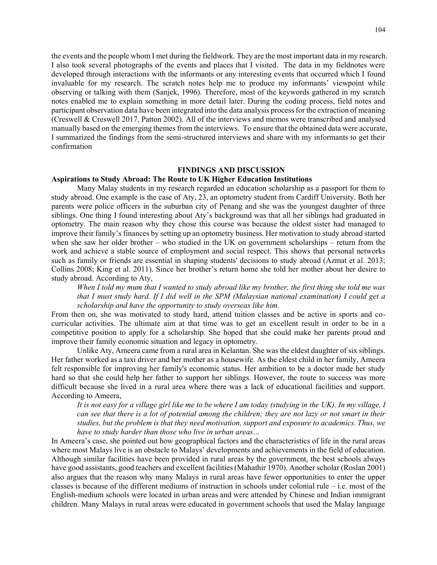the events and the people whom I met during the fieldwork. They are the most important data in my research. I also took several photographs of the events and places that I visited. The data in my fieldnotes were developed through interactions with the informants or any interesting events that occurred which I found invaluable for my research. The scratch notes help me to produce my informants' viewpoint while observing or talking with them (Sanjek, 1996). Therefore, most of the keywords gathered in my scratch notes enabled me to explain something in more detail later. During the coding process, field notes and participant observation data have been integrated into the data analysis process for the extraction of meaning (Creswell & Creswell 2017, Patton 2002). All of the interviews and memos were transcribed and analysed manually based on the emerging themes from the interviews. To ensure that the obtained data were accurate, I summarized the findings from the semi-structured interviews and share with my informants to get their confirmation

#### **FINDINGS AND DISCUSSION**

## **Aspirations to Study Abroad: The Route to UK Higher Education Institutions**

Many Malay students in my research regarded an education scholarship as a passport for them to study abroad. One example is the case of Aty, 23, an optometry student from Cardiff University. Both her parents were police officers in the suburban city of Penang and she was the youngest daughter of three siblings. One thing I found interesting about Aty's background was that all her siblings had graduated in optometry. The main reason why they chose this course was because the oldest sister had managed to improve their family's finances by setting up an optometry business. Her motivation to study abroad started when she saw her older brother – who studied in the UK on government scholarships – return from the work and achieve a stable source of employment and social respect. This shows that personal networks such as family or friends are essential in shaping students' decisions to study abroad (Azmat et al. 2013; Collins 2008; King et al. 2011). Since her brother's return home she told her mother about her desire to study abroad. According to Aty,

*When I told my mum that I wanted to study abroad like my brother, the first thing she told me was that I must study hard. If I did well in the SPM (Malaysian national examination) I could get a scholarship and have the opportunity to study overseas like him.*

From then on, she was motivated to study hard, attend tuition classes and be active in sports and cocurricular activities. The ultimate aim at that time was to get an excellent result in order to be in a competitive position to apply for a scholarship. She hoped that she could make her parents proud and improve their family economic situation and legacy in optometry.

Unlike Aty, Ameera came from a rural area in Kelantan. She was the eldest daughter of six siblings. Her father worked as a taxi driver and her mother as a housewife. As the eldest child in her family, Ameera felt responsible for improving her family's economic status. Her ambition to be a doctor made her study hard so that she could help her father to support her siblings. However, the route to success was more difficult because she lived in a rural area where there was a lack of educational facilities and support. According to Ameera,

*It is not easy for a village girl like me to be where I am today (studying in the UK). In my village, I can see that there is a lot of potential among the children; they are not lazy or not smart in their studies, but the problem is that they need motivation, support and exposure to academics. Thus, we have to study harder than those who live in urban areas…*

In Ameera's case, she pointed out how geographical factors and the characteristics of life in the rural areas where most Malays live is an obstacle to Malays' developments and achievements in the field of education. Although similar facilities have been provided in rural areas by the government, the best schools always have good assistants, good teachers and excellent facilities (Mahathir 1970). Another scholar (Roslan 2001) also argues that the reason why many Malays in rural areas have fewer opportunities to enter the upper classes is because of the different mediums of instruction in schools under colonial rule – i.e. most of the English-medium schools were located in urban areas and were attended by Chinese and Indian immigrant children. Many Malays in rural areas were educated in government schools that used the Malay language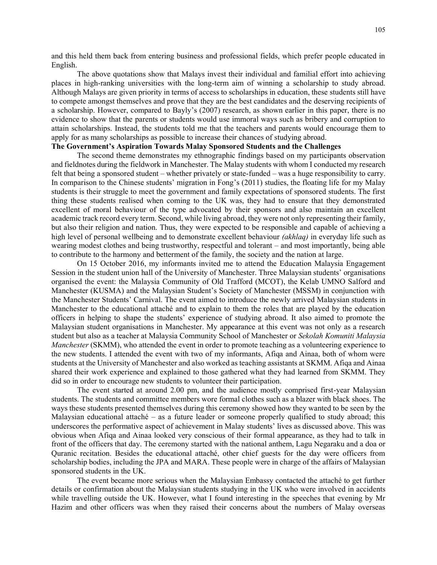and this held them back from entering business and professional fields, which prefer people educated in English.

The above quotations show that Malays invest their individual and familial effort into achieving places in high-ranking universities with the long-term aim of winning a scholarship to study abroad. Although Malays are given priority in terms of access to scholarships in education, these students still have to compete amongst themselves and prove that they are the best candidates and the deserving recipients of a scholarship. However, compared to Bayly's (2007) research, as shown earlier in this paper, there is no evidence to show that the parents or students would use immoral ways such as bribery and corruption to attain scholarships. Instead, the students told me that the teachers and parents would encourage them to apply for as many scholarships as possible to increase their chances of studying abroad.

## **The Government's Aspiration Towards Malay Sponsored Students and the Challenges**

The second theme demonstrates my ethnographic findings based on my participants observation and fieldnotes during the fieldwork in Manchester. The Malay students with whom I conducted my research felt that being a sponsored student – whether privately or state-funded – was a huge responsibility to carry. In comparison to the Chinese students' migration in Fong's (2011) studies, the floating life for my Malay students is their struggle to meet the government and family expectations of sponsored students. The first thing these students realised when coming to the UK was, they had to ensure that they demonstrated excellent of moral behaviour of the type advocated by their sponsors and also maintain an excellent academic track record every term. Second, while living abroad, they were not only representing their family, but also their religion and nation. Thus, they were expected to be responsible and capable of achieving a high level of personal wellbeing and to demonstrate excellent behaviour *(akhlaq)* in everyday life such as wearing modest clothes and being trustworthy, respectful and tolerant – and most importantly, being able to contribute to the harmony and betterment of the family, the society and the nation at large.

On 15 October 2016, my informants invited me to attend the Education Malaysia Engagement Session in the student union hall of the University of Manchester. Three Malaysian students' organisations organised the event: the Malaysia Community of Old Trafford (MCOT), the Kelab UMNO Salford and Manchester (KUSMA) and the Malaysian Student's Society of Manchester (MSSM) in conjunction with the Manchester Students' Carnival. The event aimed to introduce the newly arrived Malaysian students in Manchester to the educational attaché and to explain to them the roles that are played by the education officers in helping to shape the students' experience of studying abroad. It also aimed to promote the Malaysian student organisations in Manchester. My appearance at this event was not only as a research student but also as a teacher at Malaysia Community School of Manchester or *Sekolah Komuniti Malaysia Manchester* (SKMM), who attended the event in order to promote teaching as a volunteering experience to the new students. I attended the event with two of my informants, Afiqa and Ainaa, both of whom were students at the University of Manchester and also worked as teaching assistants at SKMM. Afiqa and Ainaa shared their work experience and explained to those gathered what they had learned from SKMM. They did so in order to encourage new students to volunteer their participation.

The event started at around 2.00 pm, and the audience mostly comprised first-year Malaysian students. The students and committee members wore formal clothes such as a blazer with black shoes. The ways these students presented themselves during this ceremony showed how they wanted to be seen by the Malaysian educational attaché – as a future leader or someone properly qualified to study abroad; this underscores the performative aspect of achievement in Malay students' lives as discussed above. This was obvious when Afiqa and Ainaa looked very conscious of their formal appearance, as they had to talk in front of the officers that day. The ceremony started with the national anthem, Lagu Negaraku and a doa or Quranic recitation. Besides the educational attaché, other chief guests for the day were officers from scholarship bodies, including the JPA and MARA. These people were in charge of the affairs of Malaysian sponsored students in the UK.

The event became more serious when the Malaysian Embassy contacted the attaché to get further details or confirmation about the Malaysian students studying in the UK who were involved in accidents while travelling outside the UK. However, what I found interesting in the speeches that evening by Mr Hazim and other officers was when they raised their concerns about the numbers of Malay overseas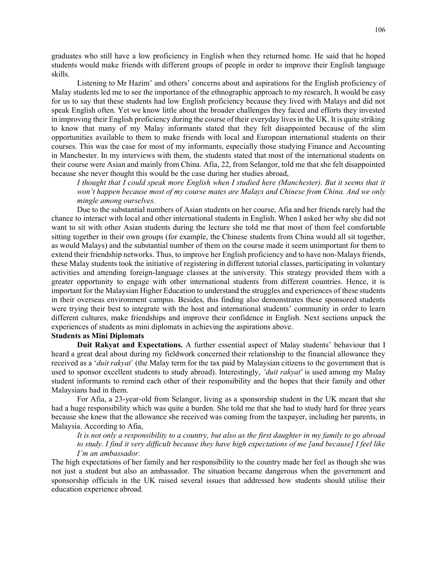graduates who still have a low proficiency in English when they returned home. He said that he hoped students would make friends with different groups of people in order to improve their English language skills.

Listening to Mr Hazim' and others' concerns about and aspirations for the English proficiency of Malay students led me to see the importance of the ethnographic approach to my research. It would be easy for us to say that these students had low English proficiency because they lived with Malays and did not speak English often. Yet we know little about the broader challenges they faced and efforts they invested in improving their English proficiency during the course of their everyday lives in the UK. It is quite striking to know that many of my Malay informants stated that they felt disappointed because of the slim opportunities available to them to make friends with local and European international students on their courses. This was the case for most of my informants, especially those studying Finance and Accounting in Manchester. In my interviews with them, the students stated that most of the international students on their course were Asian and mainly from China. Afia, 22, from Selangor, told me that she felt disappointed because she never thought this would be the case during her studies abroad,

*I thought that I could speak more English when I studied here (Manchester). But it seems that it* won't happen because most of my course mates are Malays and Chinese from China. And we only *mingle among ourselves.*

Due to the substantial numbers of Asian students on her course, Afia and her friends rarely had the chance to interact with local and other international students in English. When I asked her why she did not want to sit with other Asian students during the lecture she told me that most of them feel comfortable sitting together in their own groups (for example, the Chinese students from China would all sit together, as would Malays) and the substantial number of them on the course made it seem unimportant for them to extend their friendship networks. Thus, to improve her English proficiency and to have non-Malays friends, these Malay students took the initiative of registering in different tutorial classes, participating in voluntary activities and attending foreign-language classes at the university. This strategy provided them with a greater opportunity to engage with other international students from different countries. Hence, it is important for the Malaysian Higher Education to understand the struggles and experiences of these students in their overseas environment campus. Besides, this finding also demonstrates these sponsored students were trying their best to integrate with the host and international students' community in order to learn different cultures, make friendships and improve their confidence in English. Next sections unpack the experiences of students as mini diplomats in achieving the aspirations above.

## **Students as Mini Diplomats**

**Duit Rakyat and Expectations.** A further essential aspect of Malay students' behaviour that I heard a great deal about during my fieldwork concerned their relationship to the financial allowance they received as a '*duit rakyat*` (the Malay term for the tax paid by Malaysian citizens to the government that is used to sponsor excellent students to study abroad). Interestingly, *'duit rakyat'* is used among my Malay student informants to remind each other of their responsibility and the hopes that their family and other Malaysians had in them.

For Afia, a 23-year-old from Selangor, living as a sponsorship student in the UK meant that she had a huge responsibility which was quite a burden. She told me that she had to study hard for three years because she knew that the allowance she received was coming from the taxpayer, including her parents, in Malaysia. According to Afia,

*It is not only a responsibility to a country, but also as the first daughter in my family to go abroad to study. I find it very difficult because they have high expectations of me [and because] I feel like I'm an ambassador.*

The high expectations of her family and her responsibility to the country made her feel as though she was not just a student but also an ambassador. The situation became dangerous when the government and sponsorship officials in the UK raised several issues that addressed how students should utilise their education experience abroad.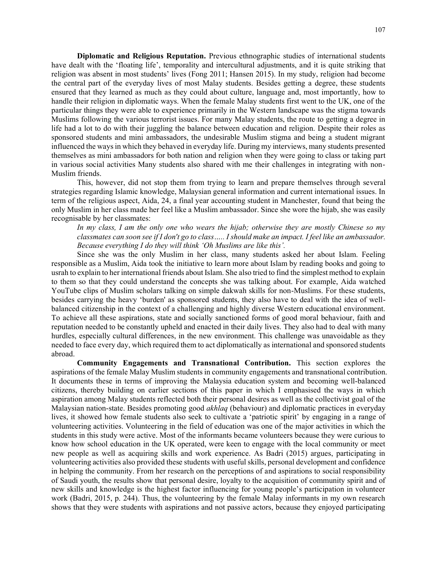**Diplomatic and Religious Reputation.** Previous ethnographic studies of international students have dealt with the 'floating life', temporality and intercultural adjustments, and it is quite striking that religion was absent in most students' lives (Fong 2011; Hansen 2015). In my study, religion had become the central part of the everyday lives of most Malay students. Besides getting a degree, these students ensured that they learned as much as they could about culture, language and, most importantly, how to handle their religion in diplomatic ways. When the female Malay students first went to the UK, one of the particular things they were able to experience primarily in the Western landscape was the stigma towards Muslims following the various terrorist issues. For many Malay students, the route to getting a degree in life had a lot to do with their juggling the balance between education and religion. Despite their roles as sponsored students and mini ambassadors, the undesirable Muslim stigma and being a student migrant influenced the ways in which they behaved in everyday life. During my interviews, many students presented themselves as mini ambassadors for both nation and religion when they were going to class or taking part in various social activities Many students also shared with me their challenges in integrating with non-Muslim friends.

This, however, did not stop them from trying to learn and prepare themselves through several strategies regarding Islamic knowledge, Malaysian general information and current international issues. In term of the religious aspect, Aida, 24, a final year accounting student in Manchester, found that being the only Muslim in her class made her feel like a Muslim ambassador. Since she wore the hijab, she was easily recognisable by her classmates:

*In my class, I am the only one who wears the hijab; otherwise they are mostly Chinese so my classmates can soon see if I don't go to class….. I should make an impact. I feel like an ambassador. Because everything I do they will think 'Oh Muslims are like this'.*

Since she was the only Muslim in her class, many students asked her about Islam. Feeling responsible as a Muslim, Aida took the initiative to learn more about Islam by reading books and going to usrah to explain to her international friends about Islam. She also tried to find the simplest method to explain to them so that they could understand the concepts she was talking about. For example, Aida watched YouTube clips of Muslim scholars talking on simple dakwah skills for non-Muslims. For these students, besides carrying the heavy 'burden' as sponsored students, they also have to deal with the idea of wellbalanced citizenship in the context of a challenging and highly diverse Western educational environment. To achieve all these aspirations, state and socially sanctioned forms of good moral behaviour, faith and reputation needed to be constantly upheld and enacted in their daily lives. They also had to deal with many hurdles, especially cultural differences, in the new environment. This challenge was unavoidable as they needed to face every day, which required them to act diplomatically as international and sponsored students abroad.

**Community Engagements and Transnational Contribution.** This section explores the aspirations of the female Malay Muslim students in community engagements and transnational contribution. It documents these in terms of improving the Malaysia education system and becoming well-balanced citizens, thereby building on earlier sections of this paper in which I emphasised the ways in which aspiration among Malay students reflected both their personal desires as well as the collectivist goal of the Malaysian nation-state. Besides promoting good *akhlaq* (behaviour) and diplomatic practices in everyday lives, it showed how female students also seek to cultivate a 'patriotic spirit' by engaging in a range of volunteering activities. Volunteering in the field of education was one of the major activities in which the students in this study were active. Most of the informants became volunteers because they were curious to know how school education in the UK operated, were keen to engage with the local community or meet new people as well as acquiring skills and work experience. As Badri (2015) argues, participating in volunteering activities also provided these students with useful skills, personal development and confidence in helping the community. From her research on the perceptions of and aspirations to social responsibility of Saudi youth, the results show that personal desire, loyalty to the acquisition of community spirit and of new skills and knowledge is the highest factor influencing for young people's participation in volunteer work (Badri, 2015, p. 244). Thus, the volunteering by the female Malay informants in my own research shows that they were students with aspirations and not passive actors, because they enjoyed participating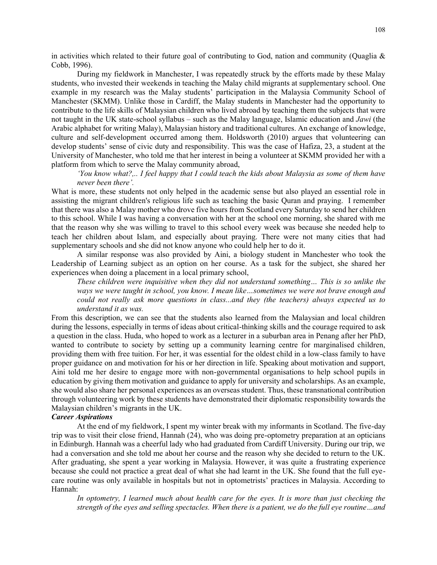in activities which related to their future goal of contributing to God, nation and community (Quaglia  $\&$ Cobb, 1996).

During my fieldwork in Manchester, I was repeatedly struck by the efforts made by these Malay students, who invested their weekends in teaching the Malay child migrants at supplementary school. One example in my research was the Malay students' participation in the Malaysia Community School of Manchester (SKMM). Unlike those in Cardiff, the Malay students in Manchester had the opportunity to contribute to the life skills of Malaysian children who lived abroad by teaching them the subjects that were not taught in the UK state-school syllabus – such as the Malay language, Islamic education and *Jawi* (the Arabic alphabet for writing Malay), Malaysian history and traditional cultures. An exchange of knowledge, culture and self-development occurred among them. Holdsworth (2010) argues that volunteering can develop students' sense of civic duty and responsibility. This was the case of Hafiza, 23, a student at the University of Manchester, who told me that her interest in being a volunteer at SKMM provided her with a platform from which to serve the Malay community abroad,

*'You know what?,.. I feel happy that I could teach the kids about Malaysia as some of them have never been there'.* 

What is more, these students not only helped in the academic sense but also played an essential role in assisting the migrant children's religious life such as teaching the basic Quran and praying. I remember that there was also a Malay mother who drove five hours from Scotland every Saturday to send her children to this school. While I was having a conversation with her at the school one morning, she shared with me that the reason why she was willing to travel to this school every week was because she needed help to teach her children about Islam, and especially about praying. There were not many cities that had supplementary schools and she did not know anyone who could help her to do it.

A similar response was also provided by Aini, a biology student in Manchester who took the Leadership of Learning subject as an option on her course. As a task for the subject, she shared her experiences when doing a placement in a local primary school,

*These children were inquisitive when they did not understand something… This is so unlike the ways we were taught in school, you know. I mean like…sometimes we were not brave enough and could not really ask more questions in class...and they (the teachers) always expected us to understand it as was.*

From this description, we can see that the students also learned from the Malaysian and local children during the lessons, especially in terms of ideas about critical-thinking skills and the courage required to ask a question in the class. Huda, who hoped to work as a lecturer in a suburban area in Penang after her PhD, wanted to contribute to society by setting up a community learning centre for marginalised children, providing them with free tuition. For her, it was essential for the oldest child in a low-class family to have proper guidance on and motivation for his or her direction in life. Speaking about motivation and support, Aini told me her desire to engage more with non-governmental organisations to help school pupils in education by giving them motivation and guidance to apply for university and scholarships. As an example, she would also share her personal experiences as an overseas student. Thus, these transnational contribution through volunteering work by these students have demonstrated their diplomatic responsibility towards the Malaysian children's migrants in the UK.

## *Career Aspirations*

At the end of my fieldwork, I spent my winter break with my informants in Scotland. The five-day trip was to visit their close friend, Hannah (24), who was doing pre-optometry preparation at an opticians in Edinburgh. Hannah was a cheerful lady who had graduated from Cardiff University. During our trip, we had a conversation and she told me about her course and the reason why she decided to return to the UK. After graduating, she spent a year working in Malaysia. However, it was quite a frustrating experience because she could not practice a great deal of what she had learnt in the UK. She found that the full eyecare routine was only available in hospitals but not in optometrists' practices in Malaysia. According to Hannah:

*In optometry, I learned much about health care for the eyes. It is more than just checking the strength of the eyes and selling spectacles. When there is a patient, we do the full eye routine…and*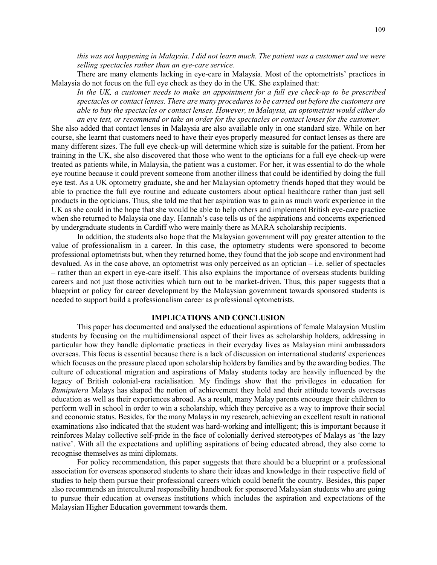*this was not happening in Malaysia. I did not learn much. The patient was a customer and we were selling spectacles rather than an eye-care service*.

There are many elements lacking in eye-care in Malaysia. Most of the optometrists' practices in Malaysia do not focus on the full eye check as they do in the UK. She explained that:

In the UK, a customer needs to make an appointment for a full eye check-up to be prescribed *spectacles or contact lenses. There are many procedures to be carried out before the customers are able to buy the spectacles or contact lenses. However, in Malaysia, an optometrist would either do an eye test, or recommend or take an order for the spectacles or contact lenses for the customer.*

She also added that contact lenses in Malaysia are also available only in one standard size. While on her course, she learnt that customers need to have their eyes properly measured for contact lenses as there are many different sizes. The full eye check-up will determine which size is suitable for the patient. From her training in the UK, she also discovered that those who went to the opticians for a full eye check-up were treated as patients while, in Malaysia, the patient was a customer. For her, it was essential to do the whole eye routine because it could prevent someone from another illness that could be identified by doing the full eye test. As a UK optometry graduate, she and her Malaysian optometry friends hoped that they would be able to practice the full eye routine and educate customers about optical healthcare rather than just sell products in the opticians. Thus, she told me that her aspiration was to gain as much work experience in the UK as she could in the hope that she would be able to help others and implement British eye-care practice when she returned to Malaysia one day. Hannah's case tells us of the aspirations and concerns experienced by undergraduate students in Cardiff who were mainly there as MARA scholarship recipients.

In addition, the students also hope that the Malaysian government will pay greater attention to the value of professionalism in a career. In this case, the optometry students were sponsored to become professional optometrists but, when they returned home, they found that the job scope and environment had devalued. As in the case above, an optometrist was only perceived as an optician – i.e. seller of spectacles – rather than an expert in eye-care itself. This also explains the importance of overseas students building careers and not just those activities which turn out to be market-driven. Thus, this paper suggests that a blueprint or policy for career development by the Malaysian government towards sponsored students is needed to support build a professionalism career as professional optometrists.

## **IMPLICATIONS AND CONCLUSION**

This paper has documented and analysed the educational aspirations of female Malaysian Muslim students by focusing on the multidimensional aspect of their lives as scholarship holders, addressing in particular how they handle diplomatic practices in their everyday lives as Malaysian mini ambassadors overseas. This focus is essential because there is a lack of discussion on international students' experiences which focuses on the pressure placed upon scholarship holders by families and by the awarding bodies. The culture of educational migration and aspirations of Malay students today are heavily influenced by the legacy of British colonial-era racialisation. My findings show that the privileges in education for *Bumiputera* Malays has shaped the notion of achievement they hold and their attitude towards overseas education as well as their experiences abroad. As a result, many Malay parents encourage their children to perform well in school in order to win a scholarship, which they perceive as a way to improve their social and economic status. Besides, for the many Malays in my research, achieving an excellent result in national examinations also indicated that the student was hard-working and intelligent; this is important because it reinforces Malay collective self-pride in the face of colonially derived stereotypes of Malays as 'the lazy native'. With all the expectations and uplifting aspirations of being educated abroad, they also come to recognise themselves as mini diplomats.

For policy recommendation, this paper suggests that there should be a blueprint or a professional association for overseas sponsored students to share their ideas and knowledge in their respective field of studies to help them pursue their professional careers which could benefit the country. Besides, this paper also recommends an intercultural responsibility handbook for sponsored Malaysian students who are going to pursue their education at overseas institutions which includes the aspiration and expectations of the Malaysian Higher Education government towards them.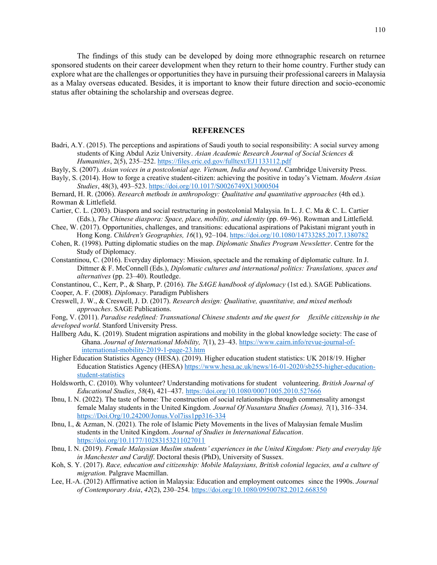The findings of this study can be developed by doing more ethnographic research on returnee sponsored students on their career development when they return to their home country. Further study can explore what are the challenges or opportunities they have in pursuing their professional careers in Malaysia as a Malay overseas educated. Besides, it is important to know their future direction and socio-economic status after obtaining the scholarship and overseas degree.

#### **REFERENCES**

- Badri, A.Y. (2015). The perceptions and aspirations of Saudi youth to social responsibility: A social survey among students of King Abdul Aziz University. *Asian Academic Research Journal of Social Sciences & Humanities*, 2(5), 235–252.<https://files.eric.ed.gov/fulltext/EJ1133112.pdf>
- Bayly, S. (2007). *Asian voices in a postcolonial age. Vietnam, India and beyond*. Cambridge University Press.
- Bayly, S. (2014). How to forge a creative student-citizen: achieving the positive in today's Vietnam. *Modern Asian Studies*, 48(3), 493–523[. https://doi.org/10.1017/S0026749X13000504](https://doi.org/10.1017/S0026749X13000504)
- Bernard, H. R. (2006). *Research methods in anthropology: Qualitative and quantitative approaches* (4th ed.). Rowman & Littlefield.
- Cartier, C. L. (2003). Diaspora and social restructuring in postcolonial Malaysia. In L. J. C. Ma & C. L. Cartier (Eds.), *The Chinese diaspora: Space, place, mobility, and identity* (pp. 69–96). Rowman and Littlefield.
- Chee, W. (2017). Opportunities, challenges, and transitions: educational aspirations of Pakistani migrant youth in Hong Kong. *Children's Geographies, 16*(1), 92–104.<https://doi.org/10.1080/14733285.2017.1380782>
- Cohen, R. (1998). Putting diplomatic studies on the map. *Diplomatic Studies Program Newsletter*. Centre for the Study of Diplomacy.
- Constantinou, C. (2016). Everyday diplomacy: Mission, spectacle and the remaking of diplomatic culture*.* In J. Dittmer & F. McConnell (Eds.), *Diplomatic cultures and international politics: Translations, spaces and alternatives* (pp. 23–40). Routledge.

Constantinou, C., Kerr, P., & Sharp, P. (2016). *The SAGE handbook of diplomacy* (1st ed.). SAGE Publications. Cooper, A. F. (2008). *Diplomacy*. Paradigm Publishers

Creswell, J. W., & Creswell, J. D. (2017). *Research design: Qualitative, quantitative, and mixed methods approaches*. SAGE Publications.

Fong, V. (2011). *Paradise redefined: Transnational Chinese students and the quest for flexible citizenship in the developed world*. Stanford University Press.

- Hallberg Adu, K. (2019). Student migration aspirations and mobility in the global knowledge society: The case of Ghana. *Journal of International Mobility, 7*(1), 23–43. [https://www.cairn.info/revue-journal-of](https://www.cairn.info/revue-journal-of-international-mobility-2019-1-page-23.htm)[international-mobility-2019-1-page-23.htm](https://www.cairn.info/revue-journal-of-international-mobility-2019-1-page-23.htm)
- Higher Education Statistics Agency (HESA). (2019). Higher education student statistics: UK 2018/19. Higher Education Statistics Agency (HESA[\) https://www.hesa.ac.uk/news/16-01-2020/sb255-higher-education](https://www.hesa.ac.uk/news/16-01-2020/sb255-higher-education-student-statistics)[student-statistics](https://www.hesa.ac.uk/news/16-01-2020/sb255-higher-education-student-statistics)
- Holdsworth, C. (2010). Why volunteer? Understanding motivations for student volunteering. *British Journal of Educational Studies*, *58*(4), 421–437. <https://doi.org/10.1080/00071005.2010.527666>
- Ibnu, I. N. (2022). The taste of home: The construction of social relationships through commensality amongst female Malay students in the United Kingdom*. Journal Of Nusantara Studies (Jonus), 7*(1), 316–334. [https://Doi.Org/10.24200/Jonus.Vol7iss1pp316-334](https://doi.org/10.24200/Jonus.Vol7iss1pp316-334)
- Ibnu, I., & Azman, N. (2021). The role of Islamic Piety Movements in the lives of Malaysian female Muslim students in the United Kingdom. *Journal of Studies in International Education*. <https://doi.org/10.1177/10283153211027011>
- Ibnu, I. N. (2019). *Female Malaysian Muslim students' experiences in the United Kingdom: Piety and everyday life in Manchester and Cardiff*. Doctoral thesis (PhD), University of Sussex.
- Koh, S. Y. (2017). *Race, education and citizenship: Mobile Malaysians, British colonial legacies, and a culture of migration.* Palgrave Macmillan.
- Lee, H.-A. (2012) Affirmative action in Malaysia: Education and employment outcomes since the 1990s. *Journal of Contemporary Asia*, *42*(2), 230–254[. https://doi.org/10.1080/09500782.2012.668350](https://doi.org/10.1080/09500782.2012.668350)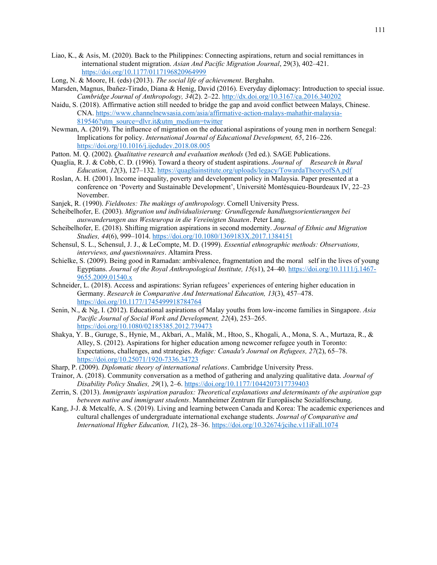- Liao, K., & Asis, M. (2020). Back to the Philippines: Connecting aspirations, return and social remittances in international student migration. *Asian And Pacific Migration Journal*, 29(3), 402–421. <https://doi.org/10.1177/0117196820964999>
- Long, N. & Moore, H. (eds) (2013). *The social life of achievement*. Berghahn.
- Marsden, Magnus, Ibañez-Tirado, Diana & Henig, David (2016). Everyday diplomacy: Introduction to special issue. *Cambridge Journal of Anthropology, 34*(2). 2–22.<http://dx.doi.org/10.3167/ca.2016.340202>
- Naidu, S. (2018). Affirmative action still needed to bridge the gap and avoid conflict between Malays, Chinese. CNA. [https://www.channelnewsasia.com/asia/affirmative-action-malays-mahathir-malaysia-](https://www.channelnewsasia.com/asia/affirmative-action-malays-mahathir-malaysia-819546?utm_source=dlvr.it&utm_medium=twitter)[819546?utm\\_source=dlvr.it&utm\\_medium=twitter](https://www.channelnewsasia.com/asia/affirmative-action-malays-mahathir-malaysia-819546?utm_source=dlvr.it&utm_medium=twitter)
- Newman, A. (2019). The influence of migration on the educational aspirations of young men in northern Senegal: Implications for policy. *International Journal of Educational Development, 65*, 216–226. <https://doi.org/10.1016/j.ijedudev.2018.08.005>
- Patton. M. Q. (2002). *Qualitative research and evaluation methods* (3rd ed.). SAGE Publications.
- Quaglia, R. J. & Cobb, C. D. (1996). Toward a theory of student aspirations. *Journal of Research in Rural Education, 12*(3), 127–132.<https://quagliainstitute.org/uploads/legacy/TowardaTheoryofSA.pdf>
- Roslan, A. H. (2001). Income inequality, poverty and development policy in Malaysia. Paper presented at a conference on 'Poverty and Sustainable Development', Université Montésquieu-Bourdeaux IV, 22–23 November.
- Sanjek, R. (1990). *Fieldnotes: The makings of anthropology*. Cornell University Press.
- Scheibelhofer, E. (2003). *Migration und individualisierung: Grundlegende handlungsorientierungen bei auswanderungen aus Westeuropa in die Vereinigten Staaten*. Peter Lang.
- Scheibelhofer, E. (2018). Shifting migration aspirations in second modernity. *Journal of Ethnic and Migration Studies, 44*(6), 999–1014[. https://doi.org/10.1080/1369183X.2017.1384151](https://doi.org/10.1080/1369183X.2017.1384151)
- Schensul, S. L., Schensul, J. J., & LeCompte, M. D. (1999). *Essential ethnographic methods: Observations, interviews, and questionnaires*. Altamira Press.
- Schielke, S. (2009). Being good in Ramadan: ambivalence, fragmentation and the moral self in the lives of young Egyptians. *Journal of the Royal Anthropological Institute, 15*(s1), 24–40. [https://doi.org/10.1111/j.1467-](https://doi.org/10.1111/j.1467-9655.2009.01540.x) [9655.2009.01540.x](https://doi.org/10.1111/j.1467-9655.2009.01540.x)
- Schneider, L. (2018). Access and aspirations: Syrian refugees' experiences of entering higher education in Germany. *Research in Comparative And International Education, 13*(3), 457–478. <https://doi.org/10.1177/1745499918784764>
- Senin, N., & Ng, I. (2012). Educational aspirations of Malay youths from low-income families in Singapore. *Asia Pacific Journal of Social Work and Development, 22*(4), 253–265. <https://doi.org/10.1080/02185385.2012.739473>
- Shakya, Y. B., Guruge, S., Hynie, M., Akbari, A., Malik, M., Htoo, S., Khogali, A., Mona, S. A., Murtaza, R., & Alley, S. (2012). Aspirations for higher education among newcomer refugee youth in Toronto: Expectations, challenges, and strategies. *Refuge: Canada's Journal on Refugees, 27*(2), 65–78. <https://doi.org/10.25071/1920-7336.34723>
- Sharp, P. (2009). *Diplomatic theory of international relations*. Cambridge University Press.
- Trainor, A. (2018). Community conversation as a method of gathering and analyzing qualitative data. *Journal of Disability Policy Studies, 29*(1), 2–6[. https://doi.org/10.1177/1044207317739403](https://doi.org/10.1177/1044207317739403)
- Zerrin, S. (2013). *Immigrants'aspiration paradox: Theoretical explanations and determinants of the aspiration gap between native and immigrant students*. Mannheimer Zentrum für Europäische Sozialforschung.
- Kang, J-J. & Metcalfe, A. S. (2019). Living and learning between Canada and Korea: The academic experiences and cultural challenges of undergraduate international exchange students. *Journal of Comparative and International Higher Education, 1*1(2), 28–36.<https://doi.org/10.32674/jcihe.v11iFall.1074>